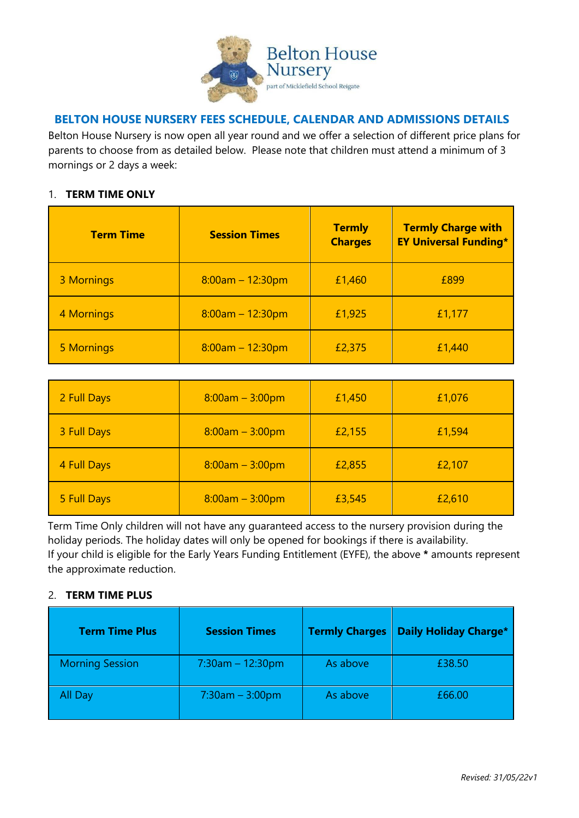

## **BELTON HOUSE NURSERY FEES SCHEDULE, CALENDAR AND ADMISSIONS DETAILS**

Belton House Nursery is now open all year round and we offer a selection of different price plans for parents to choose from as detailed below. Please note that children must attend a minimum of 3 mornings or 2 days a week:

#### 1. **TERM TIME ONLY**

| <b>Term Time</b> | <b>Session Times</b> | <b>Termly</b><br><b>Charges</b> | <b>Termly Charge with</b><br><b>EY Universal Funding*</b> |
|------------------|----------------------|---------------------------------|-----------------------------------------------------------|
| 3 Mornings       | $8:00am - 12:30pm$   | £1,460                          | £899                                                      |
| 4 Mornings       | $8:00am - 12:30pm$   | £1,925                          | £1,177                                                    |
| 5 Mornings       | $8:00am - 12:30pm$   | £2,375                          | £1,440                                                    |

| 2 Full Days | $8:00am - 3:00pm$ | £1,450 | £1,076 |
|-------------|-------------------|--------|--------|
| 3 Full Days | $8:00am - 3:00pm$ | £2,155 | £1,594 |
| 4 Full Days | $8:00am - 3:00pm$ | £2,855 | £2,107 |
| 5 Full Days | $8:00am - 3:00pm$ | £3,545 | £2,610 |

Term Time Only children will not have any guaranteed access to the nursery provision during the holiday periods. The holiday dates will only be opened for bookings if there is availability. If your child is eligible for the Early Years Funding Entitlement (EYFE), the above **\*** amounts represent the approximate reduction.

#### 2. **TERM TIME PLUS**

| <b>Term Time Plus</b>  | <b>Session Times</b> | <b>Termly Charges</b> | <b>Daily Holiday Charge*</b> |
|------------------------|----------------------|-----------------------|------------------------------|
| <b>Morning Session</b> | $7:30$ am - 12:30pm  | As above              | £38.50                       |
| All Day                | $7:30$ am $-3:00$ pm | As above              | £66.00                       |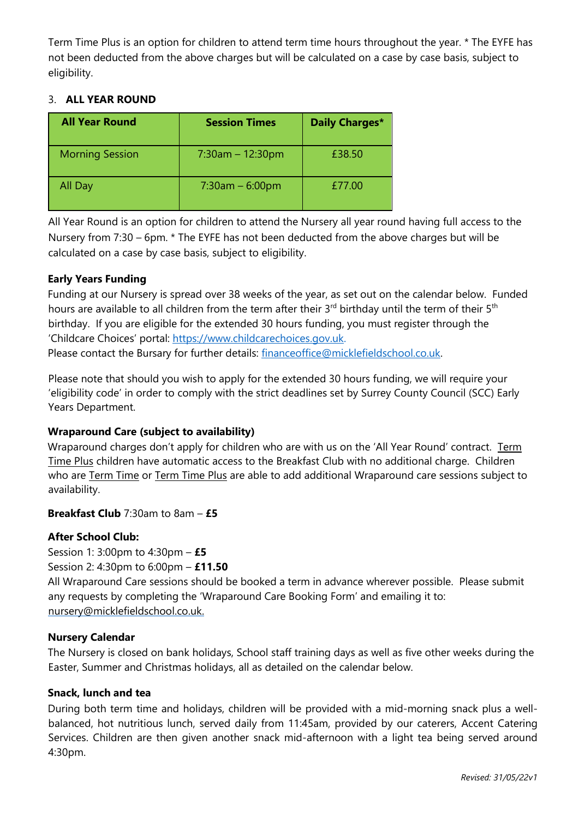Term Time Plus is an option for children to attend term time hours throughout the year. \* The EYFE has not been deducted from the above charges but will be calculated on a case by case basis, subject to eligibility.

## 3. **ALL YEAR ROUND**

| <b>All Year Round</b>  | <b>Session Times</b> | Daily Charges* |
|------------------------|----------------------|----------------|
| <b>Morning Session</b> | $7:30$ am – 12:30pm  | £38.50         |
| All Day                | $7:30$ am $-6:00$ pm | £77.00         |

All Year Round is an option for children to attend the Nursery all year round having full access to the Nursery from 7:30 – 6pm. \* The EYFE has not been deducted from the above charges but will be calculated on a case by case basis, subject to eligibility.

## **Early Years Funding**

Funding at our Nursery is spread over 38 weeks of the year, as set out on the calendar below. Funded hours are available to all children from the term after their 3<sup>rd</sup> birthday until the term of their 5<sup>th</sup> birthday. If you are eligible for the extended 30 hours funding, you must register through the 'Childcare Choices' portal: [https://www.childcarechoices.gov.uk.](https://www.childcarechoices.gov.uk/) Please contact the Bursary for further details: [financeoffice@micklefieldschool.co.uk.](mailto:financeoffice@micklefieldschool.co.uk)

Please note that should you wish to apply for the extended 30 hours funding, we will require your 'eligibility code' in order to comply with the strict deadlines set by Surrey County Council (SCC) Early Years Department.

## **Wraparound Care (subject to availability)**

Wraparound charges don't apply for children who are with us on the 'All Year Round' contract. Term Time Plus children have automatic access to the Breakfast Club with no additional charge. Children who are **Term Time or Term Time Plus** are able to add additional Wraparound care sessions subject to availability.

## **Breakfast Club** 7:30am to 8am – **£5**

## **After School Club:**

Session 1: 3:00pm to 4:30pm – **£5** Session 2: 4:30pm to 6:00pm – **£11.50**

All Wraparound Care sessions should be booked a term in advance wherever possible. Please submit any requests by completing the 'Wraparound Care Booking Form' and emailing it to: nursery@micklefieldschool.co.uk.

## **Nursery Calendar**

The Nursery is closed on bank holidays, School staff training days as well as five other weeks during the Easter, Summer and Christmas holidays, all as detailed on the calendar below.

## **Snack, lunch and tea**

During both term time and holidays, children will be provided with a mid-morning snack plus a wellbalanced, hot nutritious lunch, served daily from 11:45am, provided by our caterers, Accent Catering Services. Children are then given another snack mid-afternoon with a light tea being served around 4:30pm.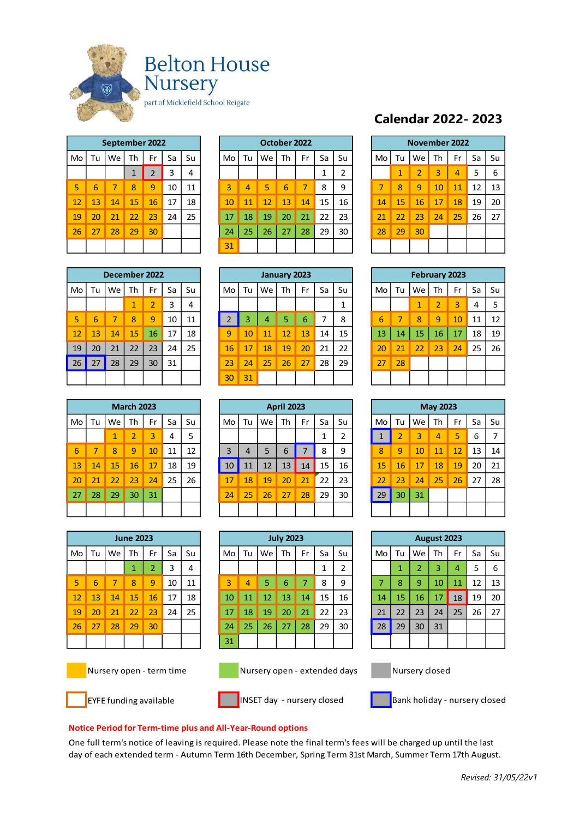

|    | September 2022 |    |    |                |    |    |  |  |  |  |  |  |  |  |  |
|----|----------------|----|----|----------------|----|----|--|--|--|--|--|--|--|--|--|
| Mo | Tu             | We | Fr | Sa             | Su |    |  |  |  |  |  |  |  |  |  |
|    |                |    | 1  | $\overline{2}$ | 3  | 4  |  |  |  |  |  |  |  |  |  |
| 5  | 6              | 7  | 8  | 9              | 10 | 11 |  |  |  |  |  |  |  |  |  |
| 12 | 13             | 14 | 15 | 16             | 17 | 18 |  |  |  |  |  |  |  |  |  |
| 19 | 20             | 21 | 22 | 23             | 24 | 25 |  |  |  |  |  |  |  |  |  |
| 26 | 27             | 28 | 29 | 30             |    |    |  |  |  |  |  |  |  |  |  |
|    |                |    |    |                |    |    |  |  |  |  |  |  |  |  |  |

|    |      |    |    |    |                | October 2022 |    |    |    |    |        |    |  | November 2022 |    |    |    |    |    |    |
|----|------|----|----|----|----------------|--------------|----|----|----|----|--------|----|--|---------------|----|----|----|----|----|----|
| Tu | We   | Th | Fr | Sa | Su             | Mo           | Tu | We | Th | Fr | Sa     | Su |  | Mo            | Tu | We | Th | Fr | Sa | Su |
|    |      | 1  | h  |    | 4              |              |    |    |    |    | 1<br>ᅩ |    |  |               | ×  | 2  | 3  | 4  | 5  | 6  |
| 6  |      | 8  | 9  | 10 | 11             | 3            | 4  | 5. | 6  |    | 8      | 9  |  |               | 8  | 9  | 10 | 11 | 12 | 13 |
| 13 | 14   | 15 | 16 | 17 | 18             | 10           | 11 | 12 | 13 | 14 | 15     | 16 |  | 14            | 15 | 16 | 17 | 18 | 19 | 20 |
| 20 | 21   | 22 | 23 | 24 | 25             | 17           | 18 | 19 | 20 | 21 | 22     | 23 |  | 21            | 22 | 23 | 24 | 25 | 26 | 27 |
| 27 | 28   | 29 | 30 |    |                | 24           | 25 | 26 | 27 | 28 | 29     | 30 |  | 28            | 29 | 30 |    |    |    |    |
|    |      |    |    |    |                | 31           |    |    |    |    |        |    |  |               |    |    |    |    |    |    |
|    | Mo ' |    |    |    | September 2022 |              |    |    |    |    |        |    |  |               |    |    |    |    |    |    |

# **Calendar 2022- 2023**

|                | November 2022 |                |    |    |    |    |  |  |  |  |  |  |  |  |  |
|----------------|---------------|----------------|----|----|----|----|--|--|--|--|--|--|--|--|--|
| M <sub>o</sub> | Tu            | We Th          |    | Fr | Sa | Su |  |  |  |  |  |  |  |  |  |
|                | $\mathbf{1}$  | $\overline{2}$ | 3  | 4  | 5  | 6  |  |  |  |  |  |  |  |  |  |
| 7              | 8             | 9              | 10 | 11 | 12 | 13 |  |  |  |  |  |  |  |  |  |
| 14             | 15            | 16             | 17 | 18 | 19 | 20 |  |  |  |  |  |  |  |  |  |
| 21             | 22            | 23             | 24 | 25 | 26 | 27 |  |  |  |  |  |  |  |  |  |
| 28             | 29            | 30             |    |    |    |    |  |  |  |  |  |  |  |  |  |
|                |               |                |    |    |    |    |  |  |  |  |  |  |  |  |  |

|    | December 2022 |    |    |                |    |    |  |  |  |  |  |  |  |  |  |
|----|---------------|----|----|----------------|----|----|--|--|--|--|--|--|--|--|--|
| Mo | Tu            | We | Th | Fr             | Sa | Su |  |  |  |  |  |  |  |  |  |
|    |               |    | 1  | $\overline{2}$ | 3  | 4  |  |  |  |  |  |  |  |  |  |
| 5  | 6             | 7  | 8  | 9              | 10 | 11 |  |  |  |  |  |  |  |  |  |
| 12 | 13            | 14 | 15 | 16             | 17 | 18 |  |  |  |  |  |  |  |  |  |
| 19 | 20            | 21 | 22 | 23             | 24 | 25 |  |  |  |  |  |  |  |  |  |
| 26 | 27            | 28 | 29 | 30             | 31 |    |  |  |  |  |  |  |  |  |  |
|    |               |    |    |                |    |    |  |  |  |  |  |  |  |  |  |

|    | December 2022 |                 |    |    |    |    |    |    |    |              |    |    |    |    |    |                      |    |    |    |    |
|----|---------------|-----------------|----|----|----|----|----|----|----|--------------|----|----|----|----|----|----------------------|----|----|----|----|
|    |               |                 |    |    |    |    |    |    |    | January 2023 |    |    |    |    |    | <b>February 2023</b> |    |    |    |    |
| Mo | Tu            | We              | Th | Fr | Sa | Su | Mo | Tu | We | Th           | Fr | Sa | Su | Mo | Tu | We                   | Th | Fr | Sa | Su |
|    |               |                 | 1  |    |    | 4  |    |    |    |              |    |    |    |    |    | 1                    | 2  | 3  | 4  | 5  |
| 5  | 6             |                 | 8  | 9  | 10 | 11 |    | 3  | 4  |              | 6  | ⇁  | 8  | 6  |    | 8                    | 9  | 10 | 11 | 12 |
| 12 | 13            | 14 <sup>1</sup> | 15 | 16 | 17 | 18 | 9  | 10 | 11 | 12           | 13 | 14 | 15 | 13 | 14 | 15                   | 16 | 17 | 18 | 19 |
| 19 | 20            | 21              | 22 | 23 | 24 | 25 | 16 | 17 | 18 | 19           | 20 | 21 | 22 | 20 |    | 22                   | 23 | 24 | 25 | 26 |
| 26 | 27            | 28              | 29 | 30 | 31 |    | 23 | 24 | 25 | 26           | 27 | 28 | 29 | 27 | 28 |                      |    |    |    |    |
|    |               |                 |    |    |    |    | 30 | 31 |    |              |    |    |    |    |    |                      |    |    |    |    |

|    | <b>February 2023</b> |              |              |    |    |    |  |  |  |  |  |  |  |  |  |
|----|----------------------|--------------|--------------|----|----|----|--|--|--|--|--|--|--|--|--|
| Mo | Tu                   | We Th        | Sa           | Su |    |    |  |  |  |  |  |  |  |  |  |
|    |                      | $\mathbf{1}$ | 2            | 3  | 4  | 5  |  |  |  |  |  |  |  |  |  |
| 6  | 7                    | 8            | 9            | 10 | 11 | 12 |  |  |  |  |  |  |  |  |  |
| 13 |                      | 14   15      | $16 \mid 17$ |    | 18 | 19 |  |  |  |  |  |  |  |  |  |
| 20 | 21                   | 22           | 23           | 24 | 25 | 26 |  |  |  |  |  |  |  |  |  |
| 27 | 28                   |              |              |    |    |    |  |  |  |  |  |  |  |  |  |
|    |                      |              |              |    |    |    |  |  |  |  |  |  |  |  |  |

|    |    |                          | <b>March 2023</b> |    |    |    |
|----|----|--------------------------|-------------------|----|----|----|
| Mo |    | Tu $\vert$ We $\vert$ Th |                   | Fr | Sa | Su |
|    |    | 1                        | $\overline{2}$    | з  | 4  | 5  |
| 6  | 7  | 8                        | 9                 | 10 | 11 | 12 |
| 13 | 14 | 15                       | 16                | 17 | 18 | 19 |
| 20 | 21 | 22                       | 23                | 24 | 25 | 26 |
| 27 | 28 | 29                       | 30                | 31 |    |    |
|    |    |                          |                   |    |    |    |

|    |    |    | <b>March 2023</b> |    |    |    |    |    |    | <b>April 2023</b> |    |    |    |  |    |    |    | <b>May 2023</b> |    |    |    |
|----|----|----|-------------------|----|----|----|----|----|----|-------------------|----|----|----|--|----|----|----|-----------------|----|----|----|
| Vю | Tu | We | Th                | Fr | Sa | Su | Mo | Tu | We | Th                | Fr | Sa | Su |  | Mo | Tu | We | Th              | Fr | Sa | Su |
|    |    | 1  | 2                 | 3  | 4  | 5  |    |    |    |                   |    |    | ∍  |  |    |    | 3  | 4               | 5  | 6  | 7  |
| 6  |    | 8  | 9                 | 10 | 11 | 12 | 3  | 4  | 5  | 6                 |    | 8  | 9  |  | 8  | 9  | 10 | 11              | 12 | 13 | 14 |
| 13 | 14 | 15 | 16                | 17 | 18 | 19 | 10 | 11 | 12 | 13                | 14 | 15 | 16 |  | 15 | 16 | 17 | 18              | 19 | 20 | 21 |
| 20 | 21 | 22 | 23                | 24 | 25 | 26 | 17 | 18 | 19 | 20                | 21 | 22 | 23 |  | 22 | 23 | 24 | 25              | 26 | 27 | 28 |
| 27 | 28 | 29 | 30                | 31 |    |    | 24 | 25 | 26 | 27                | 28 | 29 | 30 |  | 29 | 30 | 31 |                 |    |    |    |
|    |    |    |                   |    |    |    |    |    |    |                   |    |    |    |  |    |    |    |                 |    |    |    |

| <b>June 2023</b> |    |    |             |                |    |    |  |
|------------------|----|----|-------------|----------------|----|----|--|
| Mo               | Tu | We | Th          | Fr             | Sa | Su |  |
|                  |    |    | $\mathbf 1$ | $\overline{2}$ | 3  | 4  |  |
| 5                | 6  | 7  | 8           | 9              | 10 | 11 |  |
| 12               | 13 | 14 | 15          | 16             | 17 | 18 |  |
| 19               | 20 | 21 | 22          | 23             | 24 | 25 |  |
| 26               | 27 | 28 | 29          | 30             |    |    |  |
|                  |    |    |             |                |    |    |  |
|                  |    |    |             |                |    |    |  |

| <b>June 2023</b> |    |    |    |    | <b>July 2023</b> |    |    |    |    | August 2023 |    |    |    |    |    |    |    |    |    |    |
|------------------|----|----|----|----|------------------|----|----|----|----|-------------|----|----|----|----|----|----|----|----|----|----|
| Mo               | Tu | We | Th | Fr | Sa               | Su | Mo | Tu | We | Th          | Fr | Sa | Su | Mo | Tu | We | Th | Fr | Sa | Su |
|                  |    |    | 1  | ົ  |                  | 4  |    |    |    |             |    |    |    |    |    | 2  | 3  | 4  | 5  | 6  |
| 5                | 6  |    | 8  | 9  | 10               | 11 | 3  | 4  | 5  | 6           |    | 8  | 9  | -  | 8  | 9  | 10 | 11 | 12 | 13 |
| 12               | 13 | 14 | 15 | 16 | 17               | 18 | 10 | 11 | 12 | 13          | 14 | 15 | 16 | 14 | 15 | 16 | 17 | 18 | 19 | 20 |
| 19               | 20 | 21 | 22 | 23 | 24               | 25 | 17 | 18 | 19 | 20          | 21 | 22 | 23 | 21 | 22 | 23 | 24 | 25 | 26 | 27 |
| 26               | 27 | 28 | 29 | 30 |                  |    | 24 | 25 | 26 | 27          | 28 | 29 | 30 | 28 | 29 | 30 | 31 |    |    |    |
|                  |    |    |    |    |                  |    | 31 |    |    |             |    |    |    |    |    |    |    |    |    |    |

| August 2023    |              |                |    |                |    |    |  |  |  |
|----------------|--------------|----------------|----|----------------|----|----|--|--|--|
| Mo             | Tu           | We             | Th | Fr             | Sa | Su |  |  |  |
|                | $\mathbf{1}$ | $\overline{2}$ | 3  | $\overline{4}$ | 5  | 6  |  |  |  |
| $\overline{7}$ | 8            | 9              | 10 | 11             | 12 | 13 |  |  |  |
| 14             | 15           | 16             | 17 | 18             | 19 | 20 |  |  |  |
| 21             | 22           | 23             | 24 | 25             | 26 | 27 |  |  |  |
| 28             | 29           | 30             | 31 |                |    |    |  |  |  |

Nursery open - term time Nursery open - extended days Nursery closed







EYFE funding available **Insect of the INSET day - nursery closed** Bank holiday - nursery closed

#### **Notice Period for Term-time plus and All-Year-Round options**

One full term's notice of leaving is required. Please note the final term's fees will be charged up until the last day of each extended term - Autumn Term 16th December, Spring Term 31st March, Summer Term 17th August.